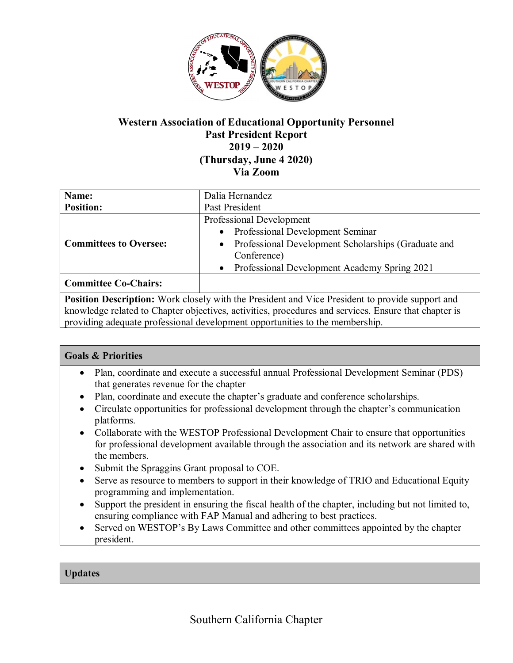

# **Western Association of Educational Opportunity Personnel Past President Report 2019 – 2020 (Thursday, June 4 2020) Via Zoom**

| Name:                                                                                                  | Dalia Hernandez                                                  |
|--------------------------------------------------------------------------------------------------------|------------------------------------------------------------------|
| <b>Position:</b>                                                                                       | Past President                                                   |
| <b>Committees to Oversee:</b>                                                                          | Professional Development                                         |
|                                                                                                        | <b>Professional Development Seminar</b><br>$\bullet$             |
|                                                                                                        | Professional Development Scholarships (Graduate and<br>$\bullet$ |
|                                                                                                        | Conference)                                                      |
|                                                                                                        | Professional Development Academy Spring 2021<br>$\bullet$        |
| <b>Committee Co-Chairs:</b>                                                                            |                                                                  |
| <b>Position Description:</b> Work closely with the President and Vice President to provide support and |                                                                  |

knowledge related to Chapter objectives, activities, procedures and services. Ensure that chapter is providing adequate professional development opportunities to the membership.

## **Goals & Priorities**

- Plan, coordinate and execute a successful annual Professional Development Seminar (PDS) that generates revenue for the chapter
- Plan, coordinate and execute the chapter's graduate and conference scholarships.
- Circulate opportunities for professional development through the chapter's communication platforms.
- Collaborate with the WESTOP Professional Development Chair to ensure that opportunities for professional development available through the association and its network are shared with the members.
- Submit the Spraggins Grant proposal to COE.
- Serve as resource to members to support in their knowledge of TRIO and Educational Equity programming and implementation.
- Support the president in ensuring the fiscal health of the chapter, including but not limited to, ensuring compliance with FAP Manual and adhering to best practices.
- Served on WESTOP's By Laws Committee and other committees appointed by the chapter president.

## **Updates**